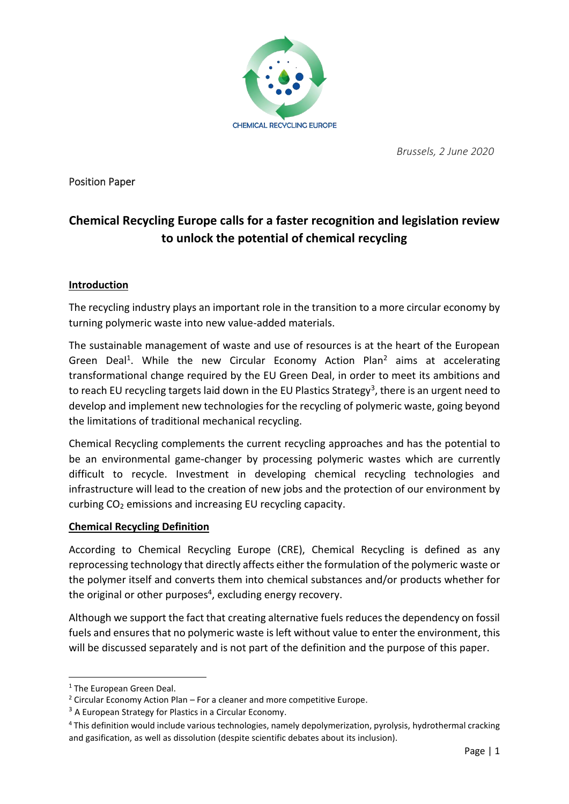

 *Brussels, 2 June 2020*

Position Paper

# **Chemical Recycling Europe calls for a faster recognition and legislation review to unlock the potential of chemical recycling**

## **Introduction**

The recycling industry plays an important role in the transition to a more circular economy by turning polymeric waste into new value-added materials.

The sustainable management of waste and use of resources is at the heart of the European Green Deal<sup>1</sup>. While the new Circular Economy Action Plan<sup>2</sup> aims at accelerating transformational change required by the EU Green Deal, in order to meet its ambitions and to reach EU recycling targets laid down in the EU Plastics Strategy<sup>3</sup>, there is an urgent need to develop and implement new technologies for the recycling of polymeric waste, going beyond the limitations of traditional mechanical recycling.

Chemical Recycling complements the current recycling approaches and has the potential to be an environmental game-changer by processing polymeric wastes which are currently difficult to recycle. Investment in developing chemical recycling technologies and infrastructure will lead to the creation of new jobs and the protection of our environment by curbing CO<sub>2</sub> emissions and increasing EU recycling capacity.

## **Chemical Recycling Definition**

According to Chemical Recycling Europe (CRE), Chemical Recycling is defined as any reprocessing technology that directly affects either the formulation of the polymeric waste or the polymer itself and converts them into chemical substances and/or products whether for the original or other purposes<sup>4</sup>, excluding energy recovery.

Although we support the fact that creating alternative fuels reduces the dependency on fossil fuels and ensures that no polymeric waste is left without value to enter the environment, this will be discussed separately and is not part of the definition and the purpose of this paper.

<sup>&</sup>lt;sup>1</sup> [The European Green Deal.](https://eur-lex.europa.eu/legal-content/EN/TXT/?qid=1588580774040&uri=CELEX:52019DC0640)

<sup>&</sup>lt;sup>2</sup> Circular Economy Action Plan – [For a cleaner and more competitive Europe.](https://ec.europa.eu/environment/circular-economy/pdf/new_circular_economy_action_plan.pdf)

 $3$  [A European Strategy for Plastics in a Circular Economy.](https://eur-lex.europa.eu/legal-content/EN/TXT/?qid=1516265440535&uri=COM:2018:28:FIN)

<sup>4</sup> This definition would include various technologies, namely depolymerization, pyrolysis, hydrothermal cracking and gasification, as well as dissolution (despite scientific debates about its inclusion).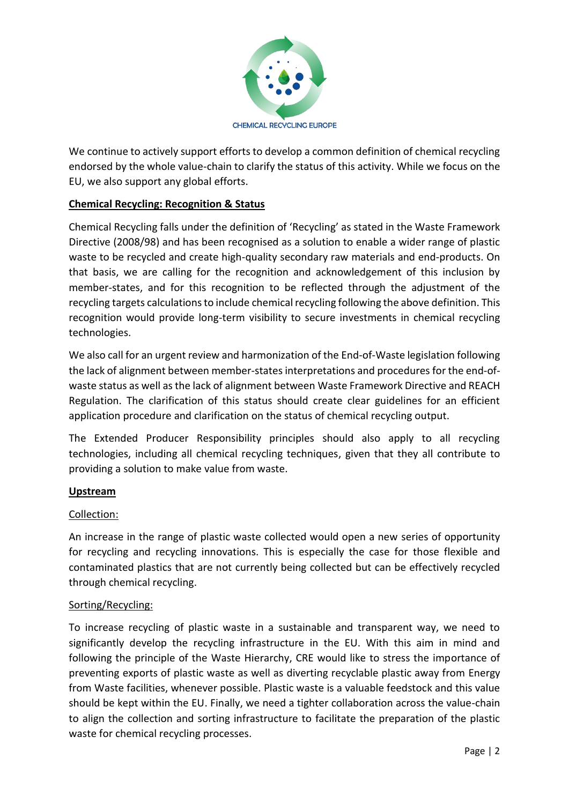

We continue to actively support efforts to develop a common definition of chemical recycling endorsed by the whole value-chain to clarify the status of this activity. While we focus on the EU, we also support any global efforts.

## **Chemical Recycling: Recognition & Status**

Chemical Recycling falls under the definition of 'Recycling' as stated in the Waste Framework Directive (2008/98) and has been recognised as a solution to enable a wider range of plastic waste to be recycled and create high-quality secondary raw materials and end-products. On that basis, we are calling for the recognition and acknowledgement of this inclusion by member-states, and for this recognition to be reflected through the adjustment of the recycling targets calculations to include chemical recycling following the above definition. This recognition would provide long-term visibility to secure investments in chemical recycling technologies.

We also call for an urgent review and harmonization of the End-of-Waste legislation following the lack of alignment between member-states interpretations and procedures for the end-ofwaste status as well as the lack of alignment between Waste Framework Directive and REACH Regulation. The clarification of this status should create clear guidelines for an efficient application procedure and clarification on the status of chemical recycling output.

The Extended Producer Responsibility principles should also apply to all recycling technologies, including all chemical recycling techniques, given that they all contribute to providing a solution to make value from waste.

## **Upstream**

## Collection:

An increase in the range of plastic waste collected would open a new series of opportunity for recycling and recycling innovations. This is especially the case for those flexible and contaminated plastics that are not currently being collected but can be effectively recycled through chemical recycling.

## Sorting/Recycling:

To increase recycling of plastic waste in a sustainable and transparent way, we need to significantly develop the recycling infrastructure in the EU. With this aim in mind and following the principle of the Waste Hierarchy, CRE would like to stress the importance of preventing exports of plastic waste as well as diverting recyclable plastic away from Energy from Waste facilities, whenever possible. Plastic waste is a valuable feedstock and this value should be kept within the EU. Finally, we need a tighter collaboration across the value-chain to align the collection and sorting infrastructure to facilitate the preparation of the plastic waste for chemical recycling processes.